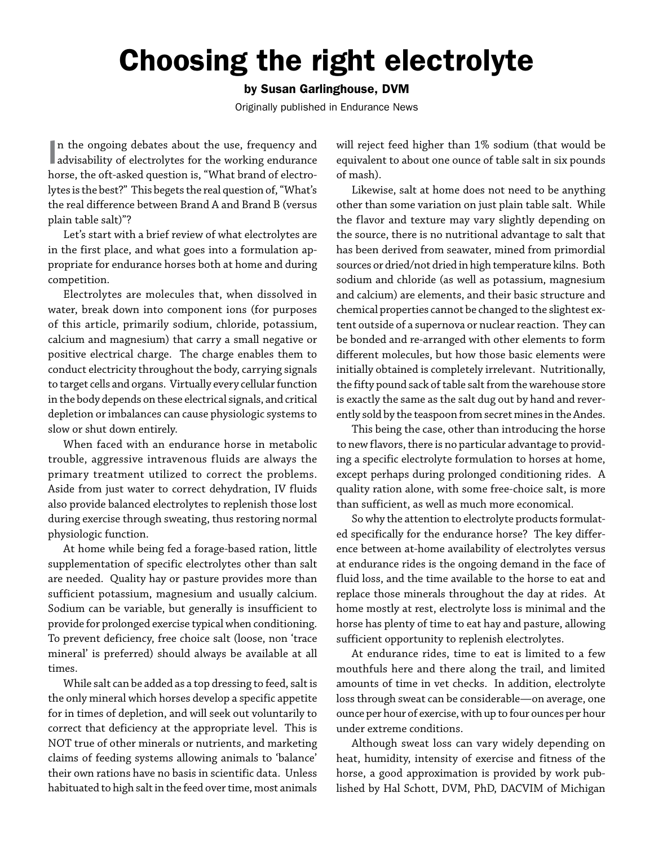## Choosing the right electrolyte

## by Susan Garlinghouse, DVM

Originally published in Endurance News

 $\parallel$ n the ongoing debates about the use, frequency and advisability of electrolytes for the working endurance n the ongoing debates about the use, frequency and horse, the oft-asked question is, "What brand of electrolytes is the best?" This begets the real question of, "What's the real difference between Brand A and Brand B (versus plain table salt)"?

Let's start with a brief review of what electrolytes are in the first place, and what goes into a formulation appropriate for endurance horses both at home and during competition.

Electrolytes are molecules that, when dissolved in water, break down into component ions (for purposes of this article, primarily sodium, chloride, potassium, calcium and magnesium) that carry a small negative or positive electrical charge. The charge enables them to conduct electricity throughout the body, carrying signals to target cells and organs. Virtually every cellular function in the body depends on these electrical signals, and critical depletion or imbalances can cause physiologic systems to slow or shut down entirely.

When faced with an endurance horse in metabolic trouble, aggressive intravenous fluids are always the primary treatment utilized to correct the problems. Aside from just water to correct dehydration, IV fluids also provide balanced electrolytes to replenish those lost during exercise through sweating, thus restoring normal physiologic function.

At home while being fed a forage-based ration, little supplementation of specific electrolytes other than salt are needed. Quality hay or pasture provides more than sufficient potassium, magnesium and usually calcium. Sodium can be variable, but generally is insufficient to provide for prolonged exercise typical when conditioning. To prevent deficiency, free choice salt (loose, non 'trace mineral' is preferred) should always be available at all times.

While salt can be added as a top dressing to feed, salt is the only mineral which horses develop a specific appetite for in times of depletion, and will seek out voluntarily to correct that deficiency at the appropriate level. This is NOT true of other minerals or nutrients, and marketing claims of feeding systems allowing animals to 'balance' their own rations have no basis in scientific data. Unless habituated to high salt in the feed over time, most animals

will reject feed higher than 1% sodium (that would be equivalent to about one ounce of table salt in six pounds of mash).

Likewise, salt at home does not need to be anything other than some variation on just plain table salt. While the flavor and texture may vary slightly depending on the source, there is no nutritional advantage to salt that has been derived from seawater, mined from primordial sources or dried/not dried in high temperature kilns. Both sodium and chloride (as well as potassium, magnesium and calcium) are elements, and their basic structure and chemical properties cannot be changed to the slightest extent outside of a supernova or nuclear reaction. They can be bonded and re-arranged with other elements to form different molecules, but how those basic elements were initially obtained is completely irrelevant. Nutritionally, the fifty pound sack of table salt from the warehouse store is exactly the same as the salt dug out by hand and reverently sold by the teaspoon from secret mines in the Andes.

This being the case, other than introducing the horse to new flavors, there is no particular advantage to providing a specific electrolyte formulation to horses at home, except perhaps during prolonged conditioning rides. A quality ration alone, with some free-choice salt, is more than sufficient, as well as much more economical.

So why the attention to electrolyte products formulated specifically for the endurance horse? The key difference between at-home availability of electrolytes versus at endurance rides is the ongoing demand in the face of fluid loss, and the time available to the horse to eat and replace those minerals throughout the day at rides. At home mostly at rest, electrolyte loss is minimal and the horse has plenty of time to eat hay and pasture, allowing sufficient opportunity to replenish electrolytes.

At endurance rides, time to eat is limited to a few mouthfuls here and there along the trail, and limited amounts of time in vet checks. In addition, electrolyte loss through sweat can be considerable—on average, one ounce per hour of exercise, with up to four ounces per hour under extreme conditions.

Although sweat loss can vary widely depending on heat, humidity, intensity of exercise and fitness of the horse, a good approximation is provided by work published by Hal Schott, DVM, PhD, DACVIM of Michigan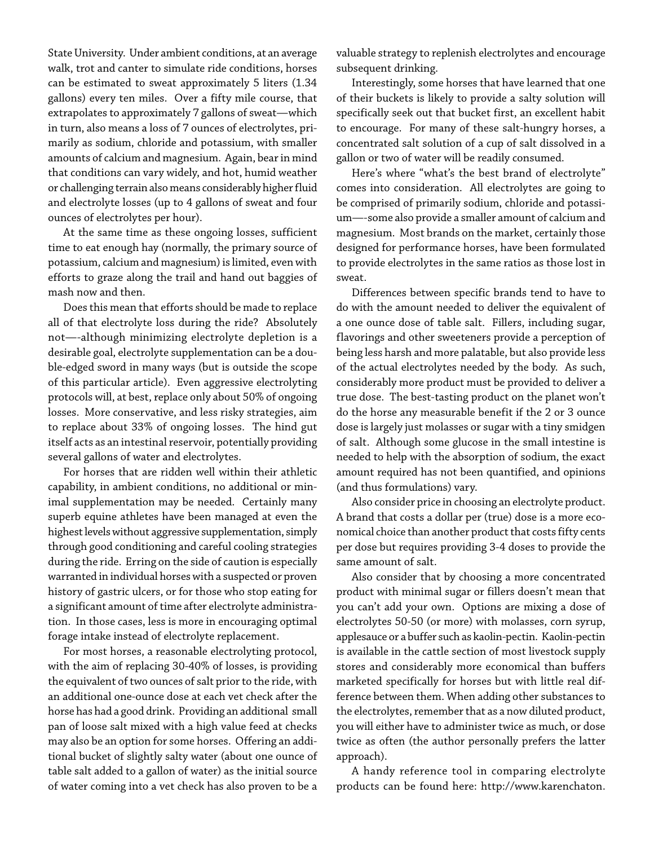State University. Under ambient conditions, at an average walk, trot and canter to simulate ride conditions, horses can be estimated to sweat approximately 5 liters (1.34 gallons) every ten miles. Over a fifty mile course, that extrapolates to approximately 7 gallons of sweat—which in turn, also means a loss of 7 ounces of electrolytes, primarily as sodium, chloride and potassium, with smaller amounts of calcium and magnesium. Again, bear in mind that conditions can vary widely, and hot, humid weather or challenging terrain also means considerably higher fluid and electrolyte losses (up to 4 gallons of sweat and four ounces of electrolytes per hour).

At the same time as these ongoing losses, sufficient time to eat enough hay (normally, the primary source of potassium, calcium and magnesium) is limited, even with efforts to graze along the trail and hand out baggies of mash now and then.

Does this mean that efforts should be made to replace all of that electrolyte loss during the ride? Absolutely not—-although minimizing electrolyte depletion is a desirable goal, electrolyte supplementation can be a double-edged sword in many ways (but is outside the scope of this particular article). Even aggressive electrolyting protocols will, at best, replace only about 50% of ongoing losses. More conservative, and less risky strategies, aim to replace about 33% of ongoing losses. The hind gut itself acts as an intestinal reservoir, potentially providing several gallons of water and electrolytes.

For horses that are ridden well within their athletic capability, in ambient conditions, no additional or minimal supplementation may be needed. Certainly many superb equine athletes have been managed at even the highest levels without aggressive supplementation, simply through good conditioning and careful cooling strategies during the ride. Erring on the side of caution is especially warranted in individual horses with a suspected or proven history of gastric ulcers, or for those who stop eating for a significant amount of time after electrolyte administration. In those cases, less is more in encouraging optimal forage intake instead of electrolyte replacement.

For most horses, a reasonable electrolyting protocol, with the aim of replacing 30-40% of losses, is providing the equivalent of two ounces of salt prior to the ride, with an additional one-ounce dose at each vet check after the horse has had a good drink. Providing an additional small pan of loose salt mixed with a high value feed at checks may also be an option for some horses. Offering an additional bucket of slightly salty water (about one ounce of table salt added to a gallon of water) as the initial source of water coming into a vet check has also proven to be a

valuable strategy to replenish electrolytes and encourage subsequent drinking.

Interestingly, some horses that have learned that one of their buckets is likely to provide a salty solution will specifically seek out that bucket first, an excellent habit to encourage. For many of these salt-hungry horses, a concentrated salt solution of a cup of salt dissolved in a gallon or two of water will be readily consumed.

Here's where "what's the best brand of electrolyte" comes into consideration. All electrolytes are going to be comprised of primarily sodium, chloride and potassium—-some also provide a smaller amount of calcium and magnesium. Most brands on the market, certainly those designed for performance horses, have been formulated to provide electrolytes in the same ratios as those lost in sweat.

Differences between specific brands tend to have to do with the amount needed to deliver the equivalent of a one ounce dose of table salt. Fillers, including sugar, flavorings and other sweeteners provide a perception of being less harsh and more palatable, but also provide less of the actual electrolytes needed by the body. As such, considerably more product must be provided to deliver a true dose. The best-tasting product on the planet won't do the horse any measurable benefit if the 2 or 3 ounce dose is largely just molasses or sugar with a tiny smidgen of salt. Although some glucose in the small intestine is needed to help with the absorption of sodium, the exact amount required has not been quantified, and opinions (and thus formulations) vary.

Also consider price in choosing an electrolyte product. A brand that costs a dollar per (true) dose is a more economical choice than another product that costs fifty cents per dose but requires providing 3-4 doses to provide the same amount of salt.

Also consider that by choosing a more concentrated product with minimal sugar or fillers doesn't mean that you can't add your own. Options are mixing a dose of electrolytes 50-50 (or more) with molasses, corn syrup, applesauce or a buffer such as kaolin-pectin. Kaolin-pectin is available in the cattle section of most livestock supply stores and considerably more economical than buffers marketed specifically for horses but with little real difference between them. When adding other substances to the electrolytes, remember that as a now diluted product, you will either have to administer twice as much, or dose twice as often (the author personally prefers the latter approach).

A handy reference tool in comparing electrolyte products can be found here: http://www.karenchaton.